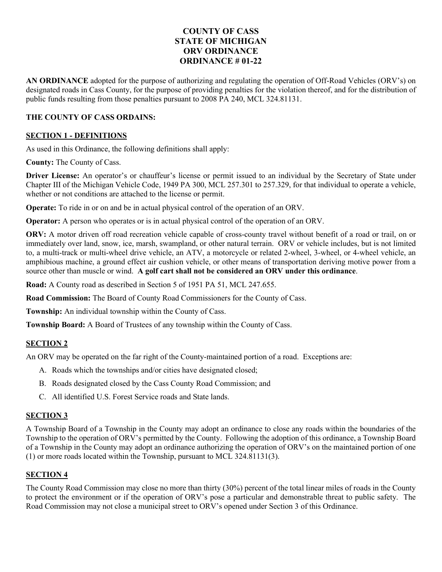# **COUNTY OF CASS STATE OF MICHIGAN ORV ORDINANCE ORDINANCE # 01-22**

**AN ORDINANCE** adopted for the purpose of authorizing and regulating the operation of Off-Road Vehicles (ORV's) on designated roads in Cass County, for the purpose of providing penalties for the violation thereof, and for the distribution of public funds resulting from those penalties pursuant to 2008 PA 240, MCL 324.81131.

# **THE COUNTY OF CASS ORDAINS:**

### **SECTION 1 - DEFINITIONS**

As used in this Ordinance, the following definitions shall apply:

**County:** The County of Cass.

**Driver License:** An operator's or chauffeur's license or permit issued to an individual by the Secretary of State under Chapter III of the Michigan Vehicle Code, 1949 PA 300, MCL 257.301 to 257.329, for that individual to operate a vehicle, whether or not conditions are attached to the license or permit.

**Operate:** To ride in or on and be in actual physical control of the operation of an ORV.

**Operator:** A person who operates or is in actual physical control of the operation of an ORV.

ORV: A motor driven off road recreation vehicle capable of cross-county travel without benefit of a road or trail, on or immediately over land, snow, ice, marsh, swampland, or other natural terrain. ORV or vehicle includes, but is not limited to, a multi-track or multi-wheel drive vehicle, an ATV, a motorcycle or related 2-wheel, 3-wheel, or 4-wheel vehicle, an amphibious machine, a ground effect air cushion vehicle, or other means of transportation deriving motive power from a source other than muscle or wind. **A golf cart shall not be considered an ORV under this ordinance**.

**Road:** A County road as described in Section 5 of 1951 PA 51, MCL 247.655.

**Road Commission:** The Board of County Road Commissioners for the County of Cass.

**Township:** An individual township within the County of Cass.

**Township Board:** A Board of Trustees of any township within the County of Cass.

# **SECTION 2**

An ORV may be operated on the far right of the County-maintained portion of a road. Exceptions are:

- A. Roads which the townships and/or cities have designated closed;
- B. Roads designated closed by the Cass County Road Commission; and
- C. All identified U.S. Forest Service roads and State lands.

# **SECTION 3**

A Township Board of a Township in the County may adopt an ordinance to close any roads within the boundaries of the Township to the operation of ORV's permitted by the County. Following the adoption of this ordinance, a Township Board of a Township in the County may adopt an ordinance authorizing the operation of ORV's on the maintained portion of one (1) or more roads located within the Township, pursuant to MCL 324.81131(3).

# **SECTION 4**

The County Road Commission may close no more than thirty (30%) percent of the total linear miles of roads in the County to protect the environment or if the operation of ORV's pose a particular and demonstrable threat to public safety. The Road Commission may not close a municipal street to ORV's opened under Section 3 of this Ordinance.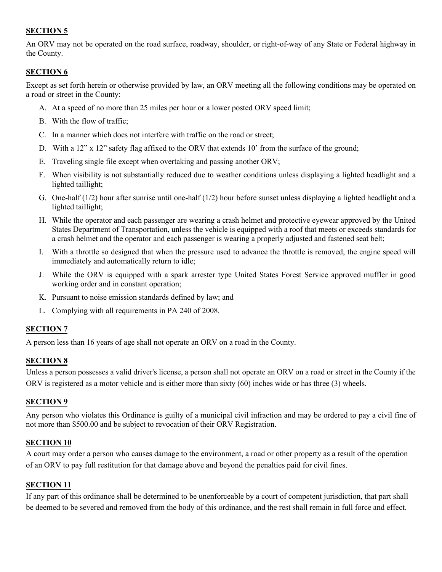# **SECTION 5**

An ORV may not be operated on the road surface, roadway, shoulder, or right-of-way of any State or Federal highway in the County.

# **SECTION 6**

Except as set forth herein or otherwise provided by law, an ORV meeting all the following conditions may be operated on a road or street in the County:

- A. At a speed of no more than 25 miles per hour or a lower posted ORV speed limit;
- B. With the flow of traffic;
- C. In a manner which does not interfere with traffic on the road or street;
- D. With a 12" x 12" safety flag affixed to the ORV that extends 10' from the surface of the ground;
- E. Traveling single file except when overtaking and passing another ORV;
- F. When visibility is not substantially reduced due to weather conditions unless displaying a lighted headlight and a lighted taillight;
- G. One-half (1/2) hour after sunrise until one-half (1/2) hour before sunset unless displaying a lighted headlight and a lighted taillight;
- H. While the operator and each passenger are wearing a crash helmet and protective eyewear approved by the United States Department of Transportation, unless the vehicle is equipped with a roof that meets or exceeds standards for a crash helmet and the operator and each passenger is wearing a properly adjusted and fastened seat belt;
- I. With a throttle so designed that when the pressure used to advance the throttle is removed, the engine speed will immediately and automatically return to idle;
- J. While the ORV is equipped with a spark arrester type United States Forest Service approved muffler in good working order and in constant operation;
- K. Pursuant to noise emission standards defined by law; and
- L. Complying with all requirements in PA 240 of 2008.

#### **SECTION 7**

A person less than 16 years of age shall not operate an ORV on a road in the County.

#### **SECTION 8**

Unless a person possesses a valid driver's license, a person shall not operate an ORV on a road or street in the County if the ORV is registered as a motor vehicle and is either more than sixty (60) inches wide or has three (3) wheels.

#### **SECTION 9**

Any person who violates this Ordinance is guilty of a municipal civil infraction and may be ordered to pay a civil fine of not more than \$500.00 and be subject to revocation of their ORV Registration.

#### **SECTION 10**

A court may order a person who causes damage to the environment, a road or other property as a result of the operation of an ORV to pay full restitution for that damage above and beyond the penalties paid for civil fines.

# **SECTION 11**

If any part of this ordinance shall be determined to be unenforceable by a court of competent jurisdiction, that part shall be deemed to be severed and removed from the body of this ordinance, and the rest shall remain in full force and effect.